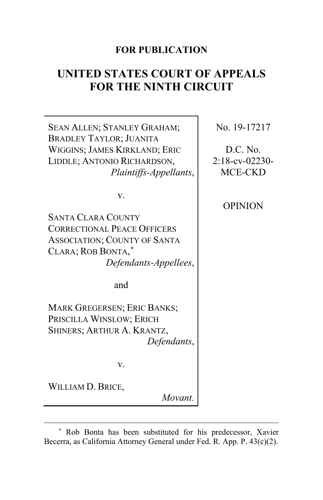# **FOR PUBLICATION**

# **UNITED STATES COURT OF APPEALS FOR THE NINTH CIRCUIT**

SEAN ALLEN; STANLEY GRAHAM; BRADLEY TAYLOR; JUANITA WIGGINS; JAMES KIRKLAND; ERIC LIDDLE; ANTONIO RICHARDSON, *Plaintiffs-Appellants*, v. SANTA CLARA COUNTY CORRECTIONAL PEACE OFFICERS ASSOCIATION; COUNTY OF SANTA CLARA; ROB BONTA, **[\\*](#page-0-0)** *Defendants-Appellees*, and MARK GREGERSEN; ERIC BANKS; PRISCILLA WINSLOW; ERICH SHINERS; ARTHUR A. KRANTZ, *Defendants*, v. WILLIAM D. BRICE, *Movant.* No. 19-17217 D.C. No. 2:18-cv-02230- MCE-CKD OPINION

<span id="page-0-0"></span>**<sup>\*</sup>** Rob Bonta has been substituted for his predecessor, Xavier Becerra, as California Attorney General under Fed. R. App. P. 43(c)(2).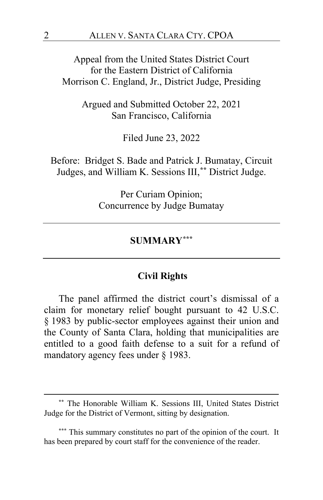Appeal from the United States District Court for the Eastern District of California Morrison C. England, Jr., District Judge, Presiding

> Argued and Submitted October 22, 2021 San Francisco, California

> > Filed June 23, 2022

Before: Bridget S. Bade and Patrick J. Bumatay, Circuit Judges, and William K. Sessions III,**[\\*\\*](#page-1-0)** District Judge.

> Per Curiam Opinion; Concurrence by Judge Bumatay

## **SUMMARY[\\*\\*\\*](#page-1-1)**

## **Civil Rights**

The panel affirmed the district court's dismissal of a claim for monetary relief bought pursuant to 42 U.S.C. § 1983 by public-sector employees against their union and the County of Santa Clara, holding that municipalities are entitled to a good faith defense to a suit for a refund of mandatory agency fees under § 1983.

<span id="page-1-0"></span>**<sup>\*\*</sup>** The Honorable William K. Sessions III, United States District Judge for the District of Vermont, sitting by designation.

<span id="page-1-1"></span>**<sup>\*\*\*</sup>** This summary constitutes no part of the opinion of the court. It has been prepared by court staff for the convenience of the reader.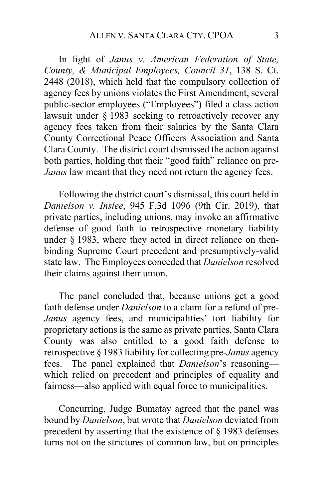In light of *Janus v. American Federation of State, County, & Municipal Employees, Council 31*, 138 S. Ct. 2448 (2018), which held that the compulsory collection of agency fees by unions violates the First Amendment, several public-sector employees ("Employees") filed a class action lawsuit under § 1983 seeking to retroactively recover any agency fees taken from their salaries by the Santa Clara County Correctional Peace Officers Association and Santa Clara County. The district court dismissed the action against both parties, holding that their "good faith" reliance on pre-*Janus* law meant that they need not return the agency fees.

Following the district court's dismissal, this court held in *Danielson v. Inslee*, 945 F.3d 1096 (9th Cir. 2019), that private parties, including unions, may invoke an affirmative defense of good faith to retrospective monetary liability under  $\S$  1983, where they acted in direct reliance on thenbinding Supreme Court precedent and presumptively-valid state law. The Employees conceded that *Danielson* resolved their claims against their union.

The panel concluded that, because unions get a good faith defense under *Danielson* to a claim for a refund of pre-*Janus* agency fees, and municipalities' tort liability for proprietary actions is the same as private parties, Santa Clara County was also entitled to a good faith defense to retrospective § 1983 liability for collecting pre-*Janus* agency fees. The panel explained that *Danielson*'s reasoning which relied on precedent and principles of equality and fairness—also applied with equal force to municipalities.

Concurring, Judge Bumatay agreed that the panel was bound by *Danielson*, but wrote that *Danielson* deviated from precedent by asserting that the existence of § 1983 defenses turns not on the strictures of common law, but on principles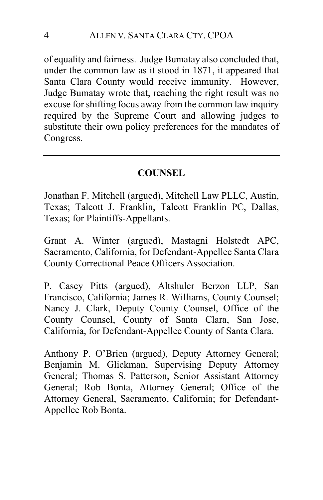of equality and fairness. Judge Bumatay also concluded that, under the common law as it stood in 1871, it appeared that Santa Clara County would receive immunity. However, Judge Bumatay wrote that, reaching the right result was no excuse for shifting focus away from the common law inquiry required by the Supreme Court and allowing judges to substitute their own policy preferences for the mandates of Congress.

# **COUNSEL**

Jonathan F. Mitchell (argued), Mitchell Law PLLC, Austin, Texas; Talcott J. Franklin, Talcott Franklin PC, Dallas, Texas; for Plaintiffs-Appellants.

Grant A. Winter (argued), Mastagni Holstedt APC, Sacramento, California, for Defendant-Appellee Santa Clara County Correctional Peace Officers Association.

P. Casey Pitts (argued), Altshuler Berzon LLP, San Francisco, California; James R. Williams, County Counsel; Nancy J. Clark, Deputy County Counsel, Office of the County Counsel, County of Santa Clara, San Jose, California, for Defendant-Appellee County of Santa Clara.

Anthony P. O'Brien (argued), Deputy Attorney General; Benjamin M. Glickman, Supervising Deputy Attorney General; Thomas S. Patterson, Senior Assistant Attorney General; Rob Bonta, Attorney General; Office of the Attorney General, Sacramento, California; for Defendant-Appellee Rob Bonta.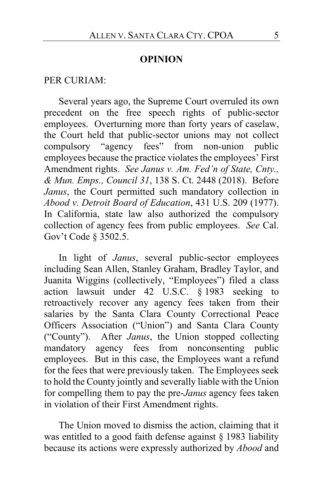## **OPINION**

#### PER CURIAM:

Several years ago, the Supreme Court overruled its own precedent on the free speech rights of public-sector employees. Overturning more than forty years of caselaw, the Court held that public-sector unions may not collect compulsory "agency fees" from non-union public employees because the practice violates the employees' First Amendment rights.*See Janus v. Am. Fed'n of State, Cnty., & Mun. Emps., Council 31*, 138 S. Ct. 2448 (2018). Before *Janus*, the Court permitted such mandatory collection in *Abood v. Detroit Board of Education*, 431 U.S. 209 (1977). In California, state law also authorized the compulsory collection of agency fees from public employees. *See* Cal. Gov't Code § 3502.5.

In light of *Janus*, several public-sector employees including Sean Allen, Stanley Graham, Bradley Taylor, and Juanita Wiggins (collectively, "Employees") filed a class action lawsuit under 42 U.S.C. § 1983 seeking to retroactively recover any agency fees taken from their salaries by the Santa Clara County Correctional Peace Officers Association ("Union") and Santa Clara County ("County"). After *Janus*, the Union stopped collecting mandatory agency fees from nonconsenting public employees. But in this case, the Employees want a refund for the fees that were previously taken.The Employees seek to hold the County jointly and severally liable with the Union for compelling them to pay the pre-*Janus* agency fees taken in violation of their First Amendment rights.

The Union moved to dismiss the action, claiming that it was entitled to a good faith defense against § 1983 liability because its actions were expressly authorized by *Abood* and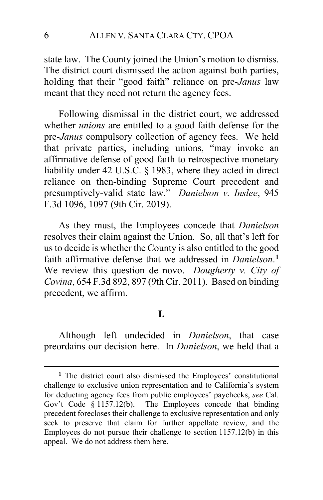state law. The County joined the Union's motion to dismiss. The district court dismissed the action against both parties, holding that their "good faith" reliance on pre-*Janus* law meant that they need not return the agency fees.

Following dismissal in the district court, we addressed whether *unions* are entitled to a good faith defense for the pre-*Janus* compulsory collection of agency fees. We held that private parties, including unions, "may invoke an affirmative defense of good faith to retrospective monetary liability under 42 U.S.C. § 1983, where they acted in direct reliance on then-binding Supreme Court precedent and presumptively-valid state law." *Danielson v. Inslee*, 945 F.3d 1096, 1097 (9th Cir. 2019).

As they must, the Employees concede that *Danielson* resolves their claim against the Union. So, all that's left for us to decide is whether the County is also entitled to the good faith affirmative defense that we addressed in *Danielson*. **[1](#page-5-0)** We review this question de novo. *Dougherty v. City of Covina*, 654 F.3d 892, 897 (9th Cir. 2011). Based on binding precedent, we affirm.

# **I.**

Although left undecided in *Danielson*, that case preordains our decision here. In *Danielson*, we held that a

<span id="page-5-0"></span>**<sup>1</sup>** The district court also dismissed the Employees' constitutional challenge to exclusive union representation and to California's system for deducting agency fees from public employees' paychecks, *see* Cal. Gov't Code § 1157.12(b). The Employees concede that binding precedent forecloses their challenge to exclusive representation and only seek to preserve that claim for further appellate review, and the Employees do not pursue their challenge to section 1157.12(b) in this appeal. We do not address them here.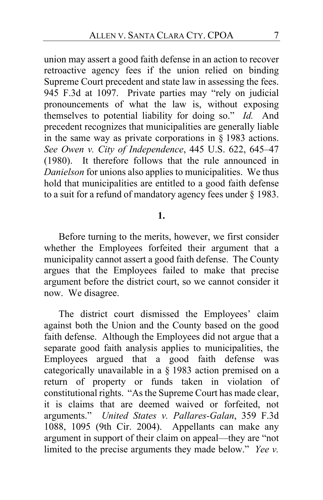union may assert a good faith defense in an action to recover retroactive agency fees if the union relied on binding Supreme Court precedent and state law in assessing the fees. 945 F.3d at 1097. Private parties may "rely on judicial pronouncements of what the law is, without exposing themselves to potential liability for doing so." *Id.* And precedent recognizes that municipalities are generally liable in the same way as private corporations in  $\S$  1983 actions. *See Owen v. City of Independence*, 445 U.S. 622, 645–47 (1980). It therefore follows that the rule announced in *Danielson* for unions also applies to municipalities. We thus hold that municipalities are entitled to a good faith defense to a suit for a refund of mandatory agency fees under § 1983.

## **1.**

Before turning to the merits, however, we first consider whether the Employees forfeited their argument that a municipality cannot assert a good faith defense. The County argues that the Employees failed to make that precise argument before the district court, so we cannot consider it now. We disagree.

The district court dismissed the Employees' claim against both the Union and the County based on the good faith defense. Although the Employees did not argue that a separate good faith analysis applies to municipalities, the Employees argued that a good faith defense was categorically unavailable in a § 1983 action premised on a return of property or funds taken in violation of constitutional rights. "As the Supreme Court has made clear, it is claims that are deemed waived or forfeited, not arguments." *United States v. Pallares-Galan*, 359 F.3d 1088, 1095 (9th Cir. 2004).Appellants can make any argument in support of their claim on appeal—they are "not limited to the precise arguments they made below." *Yee v.*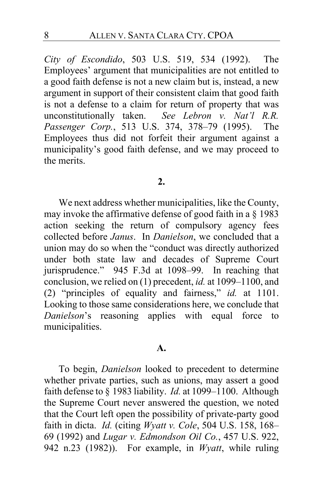*City of Escondido*, 503 U.S. 519, 534 (1992). The Employees' argument that municipalities are not entitled to a good faith defense is not a new claim but is, instead, a new argument in support of their consistent claim that good faith is not a defense to a claim for return of property that was unconstitutionally taken. *See Lebron v. Nat'l R.R. Passenger Corp.*, 513 U.S. 374, 378–79 (1995). The Employees thus did not forfeit their argument against a municipality's good faith defense, and we may proceed to the merits.

#### **2.**

We next address whether municipalities, like the County, may invoke the affirmative defense of good faith in a § 1983 action seeking the return of compulsory agency fees collected before *Janus*. In *Danielson*, we concluded that a union may do so when the "conduct was directly authorized under both state law and decades of Supreme Court jurisprudence." 945 F.3d at 1098–99. In reaching that conclusion, we relied on (1) precedent, *id.* at 1099–1100, and (2) "principles of equality and fairness," *id.* at 1101. Looking to those same considerations here, we conclude that *Danielson*'s reasoning applies with equal force to municipalities.

#### **A.**

To begin, *Danielson* looked to precedent to determine whether private parties, such as unions, may assert a good faith defense to § 1983 liability. *Id.* at 1099–1100. Although the Supreme Court never answered the question, we noted that the Court left open the possibility of private-party good faith in dicta. *Id.* (citing *Wyatt v. Cole*, 504 U.S. 158, 168– 69 (1992) and *Lugar v. Edmondson Oil Co.*, 457 U.S. 922, 942 n.23 (1982)). For example, in *Wyatt*, while ruling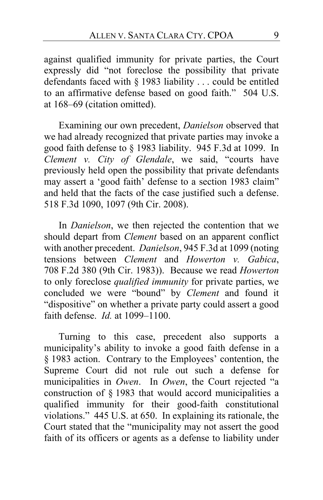against qualified immunity for private parties, the Court expressly did "not foreclose the possibility that private defendants faced with § 1983 liability . . . could be entitled to an affirmative defense based on good faith." 504 U.S. at 168–69 (citation omitted).

Examining our own precedent, *Danielson* observed that we had already recognized that private parties may invoke a good faith defense to § 1983 liability. 945 F.3d at 1099. In *Clement v. City of Glendale*, we said, "courts have previously held open the possibility that private defendants may assert a 'good faith' defense to a section 1983 claim" and held that the facts of the case justified such a defense. 518 F.3d 1090, 1097 (9th Cir. 2008).

In *Danielson*, we then rejected the contention that we should depart from *Clement* based on an apparent conflict with another precedent. *Danielson*, 945 F.3d at 1099 (noting tensions between *Clement* and *Howerton v. Gabica*, 708 F.2d 380 (9th Cir. 1983)). Because we read *Howerton*  to only foreclose *qualified immunity* for private parties, we concluded we were "bound" by *Clement* and found it "dispositive" on whether a private party could assert a good faith defense. *Id.* at 1099–1100.

Turning to this case, precedent also supports a municipality's ability to invoke a good faith defense in a § 1983 action. Contrary to the Employees' contention, the Supreme Court did not rule out such a defense for municipalities in *Owen*. In *Owen*, the Court rejected "a construction of § 1983 that would accord municipalities a qualified immunity for their good-faith constitutional violations." 445 U.S. at 650. In explaining its rationale, the Court stated that the "municipality may not assert the good faith of its officers or agents as a defense to liability under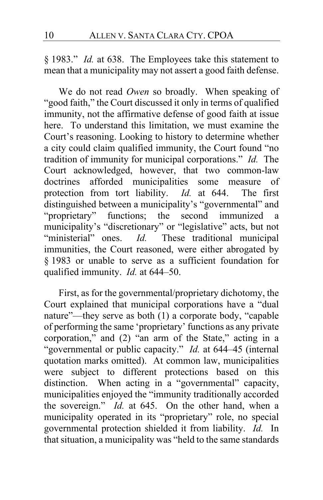§ 1983." *Id.* at 638. The Employees take this statement to mean that a municipality may not assert a good faith defense.

We do not read *Owen* so broadly. When speaking of "good faith," the Court discussed it only in terms of qualified immunity, not the affirmative defense of good faith at issue here. To understand this limitation, we must examine the Court's reasoning. Looking to history to determine whether a city could claim qualified immunity, the Court found "no tradition of immunity for municipal corporations." *Id.* The Court acknowledged, however, that two common-law doctrines afforded municipalities some measure of protection from tort liability. *Id.* at 644. The first protection from tort liability. *Id.* at 644. distinguished between a municipality's "governmental" and "proprietary" functions; the second immunized a municipality's "discretionary" or "legislative" acts, but not<br>"ministerial" ones. Id. These traditional municipal These traditional municipal immunities, the Court reasoned, were either abrogated by § 1983 or unable to serve as a sufficient foundation for qualified immunity. *Id.* at 644–50.

First, as for the governmental/proprietary dichotomy, the Court explained that municipal corporations have a "dual nature"—they serve as both (1) a corporate body, "capable of performing the same 'proprietary' functions as any private corporation," and (2) "an arm of the State," acting in a "governmental or public capacity." *Id.* at 644–45 (internal quotation marks omitted). At common law, municipalities were subject to different protections based on this distinction. When acting in a "governmental" capacity, municipalities enjoyed the "immunity traditionally accorded the sovereign." *Id.* at 645. On the other hand, when a municipality operated in its "proprietary" role, no special governmental protection shielded it from liability. *Id.* In that situation, a municipality was "held to the same standards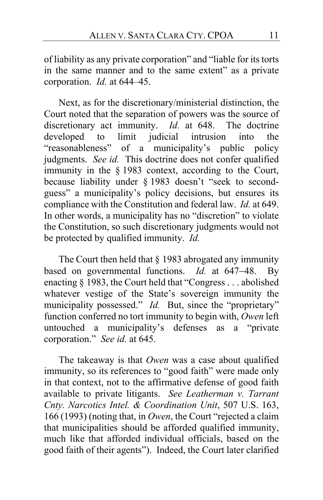of liability as any private corporation" and "liable for its torts in the same manner and to the same extent" as a private corporation. *Id.* at 644–45.

Next, as for the discretionary/ministerial distinction, the Court noted that the separation of powers was the source of discretionary act immunity. *Id.* at 648. The doctrine developed to limit judicial intrusion into the "reasonableness" of a municipality's public policy judgments. *See id.* This doctrine does not confer qualified immunity in the § 1983 context, according to the Court, because liability under § 1983 doesn't "seek to secondguess" a municipality's policy decisions, but ensures its compliance with the Constitution and federal law. *Id.* at 649. In other words, a municipality has no "discretion" to violate the Constitution, so such discretionary judgments would not be protected by qualified immunity. *Id.*

The Court then held that  $\S$  1983 abrogated any immunity based on governmental functions. *Id.* at 647−48. By enacting § 1983, the Court held that "Congress . . . abolished whatever vestige of the State's sovereign immunity the municipality possessed." *Id.* But, since the "proprietary" function conferred no tort immunity to begin with, *Owen* left untouched a municipality's defenses as a "private corporation." *See id.* at 645.

The takeaway is that *Owen* was a case about qualified immunity, so its references to "good faith" were made only in that context, not to the affirmative defense of good faith available to private litigants. *See Leatherman v. Tarrant Cnty. Narcotics Intel. & Coordination Unit*, 507 U.S. 163, 166 (1993) (noting that, in *Owen*, the Court "rejected a claim that municipalities should be afforded qualified immunity, much like that afforded individual officials, based on the good faith of their agents"). Indeed, the Court later clarified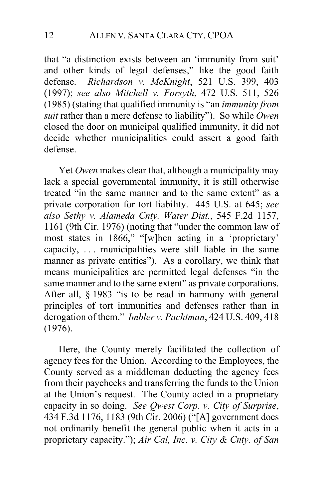that "a distinction exists between an 'immunity from suit' and other kinds of legal defenses," like the good faith defense. *Richardson v. McKnight*, 521 U.S. 399, 403 (1997); *see also Mitchell v. Forsyth*, 472 U.S. 511, 526 (1985) (stating that qualified immunity is "an *immunity from suit* rather than a mere defense to liability"). So while *Owen* closed the door on municipal qualified immunity, it did not decide whether municipalities could assert a good faith defense.

Yet *Owen* makes clear that, although a municipality may lack a special governmental immunity, it is still otherwise treated "in the same manner and to the same extent" as a private corporation for tort liability. 445 U.S. at 645; *see also Sethy v. Alameda Cnty. Water Dist.*, 545 F.2d 1157, 1161 (9th Cir. 1976) (noting that "under the common law of most states in 1866," "[w]hen acting in a 'proprietary' capacity, . . . municipalities were still liable in the same manner as private entities"). As a corollary, we think that means municipalities are permitted legal defenses "in the same manner and to the same extent" as private corporations. After all, § 1983 "is to be read in harmony with general principles of tort immunities and defenses rather than in derogation of them." *Imbler v. Pachtman*, 424 U.S. 409, 418 (1976).

Here, the County merely facilitated the collection of agency fees for the Union. According to the Employees, the County served as a middleman deducting the agency fees from their paychecks and transferring the funds to the Union at the Union's request. The County acted in a proprietary capacity in so doing. *See Qwest Corp. v. City of Surprise*, 434 F.3d 1176, 1183 (9th Cir. 2006) ("[A] government does not ordinarily benefit the general public when it acts in a proprietary capacity."); *Air Cal, Inc. v. City & Cnty. of San*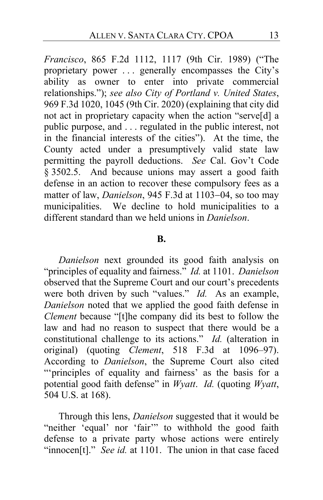*Francisco*, 865 F.2d 1112, 1117 (9th Cir. 1989) ("The proprietary power . . . generally encompasses the City's ability as owner to enter into private commercial relationships."); *see also City of Portland v. United States*, 969 F.3d 1020, 1045 (9th Cir. 2020) (explaining that city did not act in proprietary capacity when the action "serve[d] a public purpose, and . . . regulated in the public interest, not in the financial interests of the cities"). At the time, the County acted under a presumptively valid state law permitting the payroll deductions. *See* Cal. Gov't Code § 3502.5. And because unions may assert a good faith defense in an action to recover these compulsory fees as a matter of law, *Danielson*, 945 F.3d at 1103−04, so too may municipalities. We decline to hold municipalities to a different standard than we held unions in *Danielson*.

#### **B.**

*Danielson* next grounded its good faith analysis on "principles of equality and fairness." *Id.* at 1101. *Danielson*  observed that the Supreme Court and our court's precedents were both driven by such "values." *Id.* As an example, *Danielson* noted that we applied the good faith defense in *Clement* because "[t]he company did its best to follow the law and had no reason to suspect that there would be a constitutional challenge to its actions." *Id.* (alteration in original) (quoting *Clement*, 518 F.3d at 1096–97). According to *Danielson*, the Supreme Court also cited "'principles of equality and fairness' as the basis for a potential good faith defense" in *Wyatt*. *Id.* (quoting *Wyatt*, 504 U.S. at 168).

Through this lens, *Danielson* suggested that it would be "neither 'equal' nor 'fair" to withhold the good faith defense to a private party whose actions were entirely "innocen<sup>[t]</sup>." *See id.* at 1101. The union in that case faced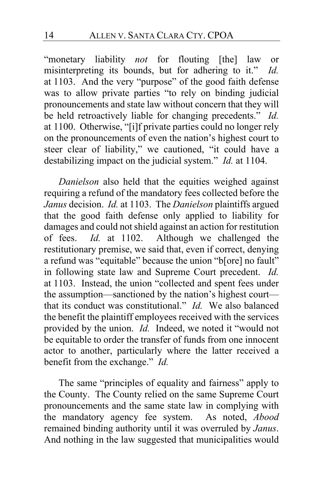"monetary liability *not* for flouting [the] law or misinterpreting its bounds, but for adhering to it." *Id.*  at 1103. And the very "purpose" of the good faith defense was to allow private parties "to rely on binding judicial pronouncements and state law without concern that they will be held retroactively liable for changing precedents." *Id.* at 1100. Otherwise, "[i]f private parties could no longer rely on the pronouncements of even the nation's highest court to steer clear of liability," we cautioned, "it could have a destabilizing impact on the judicial system." *Id.* at 1104.

*Danielson* also held that the equities weighed against requiring a refund of the mandatory fees collected before the *Janus* decision. *Id.* at 1103. The *Danielson* plaintiffs argued that the good faith defense only applied to liability for damages and could not shield against an action for restitution<br>of fees. *Id.* at 1102. Although we challenged the of fees. *Id.* at 1102. Although we challenged the restitutionary premise, we said that, even if correct, denying a refund was "equitable" because the union "b[ore] no fault" in following state law and Supreme Court precedent. *Id.* at 1103. Instead, the union "collected and spent fees under the assumption—sanctioned by the nation's highest court that its conduct was constitutional." *Id.* We also balanced the benefit the plaintiff employees received with the services provided by the union. *Id.* Indeed, we noted it "would not be equitable to order the transfer of funds from one innocent actor to another, particularly where the latter received a benefit from the exchange." *Id.*

The same "principles of equality and fairness" apply to the County. The County relied on the same Supreme Court pronouncements and the same state law in complying with the mandatory agency fee system. As noted, *Abood* remained binding authority until it was overruled by *Janus*. And nothing in the law suggested that municipalities would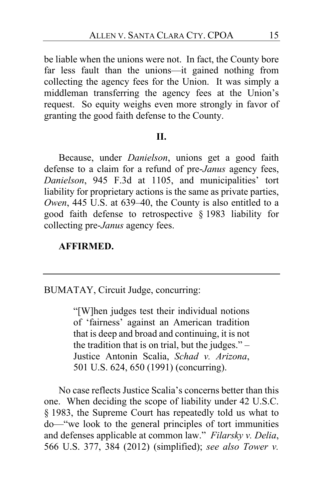be liable when the unions were not. In fact, the County bore far less fault than the unions—it gained nothing from collecting the agency fees for the Union. It was simply a middleman transferring the agency fees at the Union's request. So equity weighs even more strongly in favor of granting the good faith defense to the County.

#### **II.**

Because, under *Danielson*, unions get a good faith defense to a claim for a refund of pre-*Janus* agency fees, *Danielson*, 945 F.3d at 1105, and municipalities' tort liability for proprietary actions is the same as private parties, *Owen*, 445 U.S. at 639–40, the County is also entitled to a good faith defense to retrospective § 1983 liability for collecting pre-*Janus* agency fees.

## **AFFIRMED.**

BUMATAY, Circuit Judge, concurring:

"[W]hen judges test their individual notions of 'fairness' against an American tradition that is deep and broad and continuing, it is not the tradition that is on trial, but the judges." – Justice Antonin Scalia, *Schad v. Arizona*, 501 U.S. 624, 650 (1991) (concurring).

No case reflects Justice Scalia's concerns better than this one. When deciding the scope of liability under 42 U.S.C. § 1983, the Supreme Court has repeatedly told us what to do—"we look to the general principles of tort immunities and defenses applicable at common law." *Filarsky v. Delia*, 566 U.S. 377, 384 (2012) (simplified); *see also Tower v.*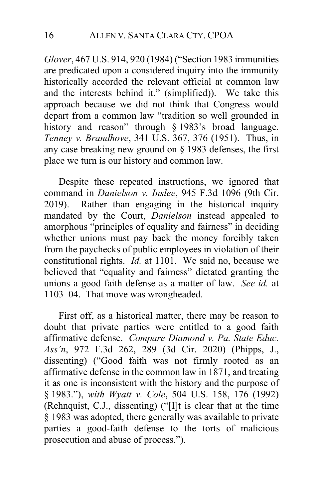*Glover*, 467 U.S. 914, 920 (1984) ("Section 1983 immunities are predicated upon a considered inquiry into the immunity historically accorded the relevant official at common law and the interests behind it." (simplified)). We take this approach because we did not think that Congress would depart from a common law "tradition so well grounded in history and reason" through § 1983's broad language. *Tenney v. Brandhove*, 341 U.S. 367, 376 (1951). Thus, in any case breaking new ground on § 1983 defenses, the first place we turn is our history and common law.

Despite these repeated instructions, we ignored that command in *Danielson v. Inslee*, 945 F.3d 1096 (9th Cir. 2019). Rather than engaging in the historical inquiry mandated by the Court, *Danielson* instead appealed to amorphous "principles of equality and fairness" in deciding whether unions must pay back the money forcibly taken from the paychecks of public employees in violation of their constitutional rights. *Id.* at 1101. We said no, because we believed that "equality and fairness" dictated granting the unions a good faith defense as a matter of law. *See id.* at 1103–04. That move was wrongheaded.

First off, as a historical matter, there may be reason to doubt that private parties were entitled to a good faith affirmative defense. *Compare Diamond v. Pa. State Educ. Ass'n*, 972 F.3d 262, 289 (3d Cir. 2020) (Phipps, J., dissenting) ("Good faith was not firmly rooted as an affirmative defense in the common law in 1871, and treating it as one is inconsistent with the history and the purpose of § 1983."), *with Wyatt v. Cole*, 504 U.S. 158, 176 (1992) (Rehnquist, C.J., dissenting) ("[I]t is clear that at the time § 1983 was adopted, there generally was available to private parties a good-faith defense to the torts of malicious prosecution and abuse of process.").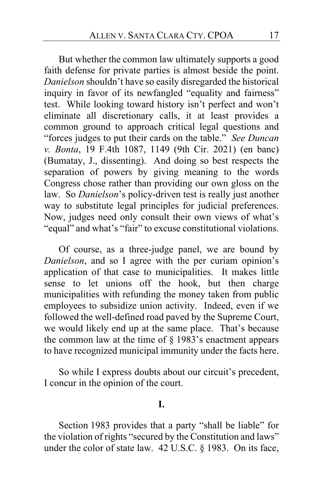But whether the common law ultimately supports a good faith defense for private parties is almost beside the point. *Danielson* shouldn't have so easily disregarded the historical inquiry in favor of its newfangled "equality and fairness" test. While looking toward history isn't perfect and won't eliminate all discretionary calls, it at least provides a common ground to approach critical legal questions and "forces judges to put their cards on the table." *See Duncan v. Bonta*, 19 F.4th 1087, 1149 (9th Cir. 2021) (en banc) (Bumatay, J., dissenting). And doing so best respects the separation of powers by giving meaning to the words Congress chose rather than providing our own gloss on the law. So *Danielson*'s policy-driven test is really just another way to substitute legal principles for judicial preferences. Now, judges need only consult their own views of what's "equal" and what's "fair" to excuse constitutional violations.

Of course, as a three-judge panel, we are bound by *Danielson*, and so I agree with the per curiam opinion's application of that case to municipalities. It makes little sense to let unions off the hook, but then charge municipalities with refunding the money taken from public employees to subsidize union activity. Indeed, even if we followed the well-defined road paved by the Supreme Court, we would likely end up at the same place. That's because the common law at the time of  $\S$  1983's enactment appears to have recognized municipal immunity under the facts here.

So while I express doubts about our circuit's precedent, I concur in the opinion of the court.

#### **I.**

Section 1983 provides that a party "shall be liable" for the violation of rights "secured by the Constitution and laws" under the color of state law. 42 U.S.C. § 1983. On its face,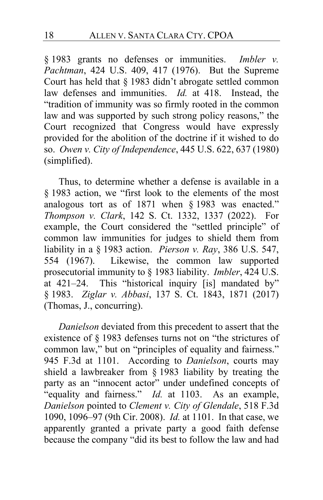§ 1983 grants no defenses or immunities. *Imbler v. Pachtman*, 424 U.S. 409, 417 (1976). But the Supreme Court has held that § 1983 didn't abrogate settled common law defenses and immunities. *Id.* at 418. Instead, the "tradition of immunity was so firmly rooted in the common law and was supported by such strong policy reasons," the Court recognized that Congress would have expressly provided for the abolition of the doctrine if it wished to do so. *Owen v. City of Independence*, 445 U.S. 622, 637 (1980) (simplified).

Thus, to determine whether a defense is available in a § 1983 action, we "first look to the elements of the most analogous tort as of 1871 when § 1983 was enacted." *Thompson v. Clark*, 142 S. Ct. 1332, 1337 (2022). For example, the Court considered the "settled principle" of common law immunities for judges to shield them from liability in a § 1983 action. *Pierson v. Ray*, 386 U.S. 547, 554 (1967). Likewise, the common law supported prosecutorial immunity to § 1983 liability. *Imbler*, 424 U.S.<br>at 421–24. This "historical inquiry [is] mandated by" This "historical inquiry [is] mandated by" § 1983. *Ziglar v. Abbasi*, 137 S. Ct. 1843, 1871 (2017) (Thomas, J., concurring).

*Danielson* deviated from this precedent to assert that the existence of § 1983 defenses turns not on "the strictures of common law," but on "principles of equality and fairness." 945 F.3d at 1101. According to *Danielson*, courts may shield a lawbreaker from § 1983 liability by treating the party as an "innocent actor" under undefined concepts of "equality and fairness." *Id.* at 1103. As an example, *Danielson* pointed to *Clement v. City of Glendale*, 518 F.3d 1090, 1096–97 (9th Cir. 2008). *Id.* at 1101. In that case, we apparently granted a private party a good faith defense because the company "did its best to follow the law and had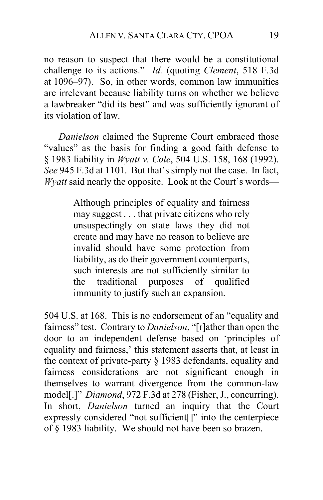no reason to suspect that there would be a constitutional challenge to its actions." *Id.* (quoting *Clement*, 518 F.3d at 1096–97). So, in other words, common law immunities are irrelevant because liability turns on whether we believe a lawbreaker "did its best" and was sufficiently ignorant of its violation of law.

*Danielson* claimed the Supreme Court embraced those "values" as the basis for finding a good faith defense to § 1983 liability in *Wyatt v. Cole*, 504 U.S. 158, 168 (1992). *See* 945 F.3d at 1101. But that's simply not the case. In fact, *Wyatt* said nearly the opposite. Look at the Court's words—

> Although principles of equality and fairness may suggest . . . that private citizens who rely unsuspectingly on state laws they did not create and may have no reason to believe are invalid should have some protection from liability, as do their government counterparts, such interests are not sufficiently similar to the traditional purposes of qualified immunity to justify such an expansion.

504 U.S. at 168. This is no endorsement of an "equality and fairness" test. Contrary to *Danielson*, "[r]ather than open the door to an independent defense based on 'principles of equality and fairness,' this statement asserts that, at least in the context of private-party § 1983 defendants, equality and fairness considerations are not significant enough in themselves to warrant divergence from the common-law model[.]" *Diamond*, 972 F.3d at 278 (Fisher, J., concurring). In short, *Danielson* turned an inquiry that the Court expressly considered "not sufficient[]" into the centerpiece of § 1983 liability. We should not have been so brazen.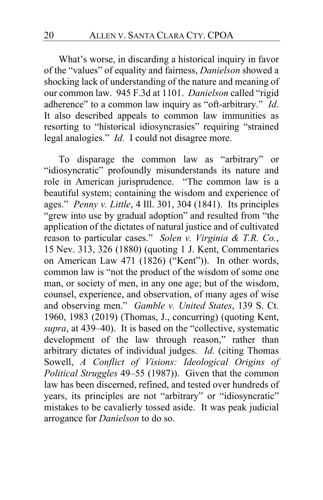What's worse, in discarding a historical inquiry in favor of the "values" of equality and fairness, *Danielson* showed a shocking lack of understanding of the nature and meaning of our common law. 945 F.3d at 1101. *Danielson* called "rigid adherence" to a common law inquiry as "oft-arbitrary." *Id*. It also described appeals to common law immunities as resorting to "historical idiosyncrasies" requiring "strained legal analogies." *Id.* I could not disagree more.

To disparage the common law as "arbitrary" or "idiosyncratic" profoundly misunderstands its nature and role in American jurisprudence. "The common law is a beautiful system; containing the wisdom and experience of ages." *Penny v. Little*, 4 Ill. 301, 304 (1841). Its principles "grew into use by gradual adoption" and resulted from "the application of the dictates of natural justice and of cultivated reason to particular cases." *Solen v. Virginia & T.R. Co.*, 15 Nev. 313, 326 (1880) (quoting 1 J. Kent, Commentaries on American Law 471 (1826) ("Kent")). In other words, common law is "not the product of the wisdom of some one man, or society of men, in any one age; but of the wisdom, counsel, experience, and observation, of many ages of wise and observing men." *Gamble v. United States*, 139 S. Ct. 1960, 1983 (2019) (Thomas, J., concurring) (quoting Kent, *supra*, at 439–40). It is based on the "collective, systematic development of the law through reason," rather than arbitrary dictates of individual judges. *Id.* (citing Thomas Sowell, *A Conflict of Visions: Ideological Origins of Political Struggles* 49–55 (1987)). Given that the common law has been discerned, refined, and tested over hundreds of years, its principles are not "arbitrary" or "idiosyncratic" mistakes to be cavalierly tossed aside. It was peak judicial arrogance for *Danielson* to do so.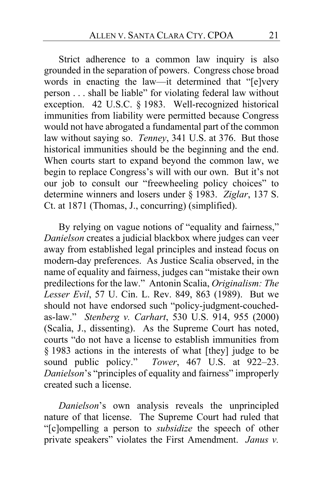Strict adherence to a common law inquiry is also grounded in the separation of powers. Congress chose broad words in enacting the law—it determined that "[e]very person . . . shall be liable" for violating federal law without exception. 42 U.S.C. § 1983. Well-recognized historical immunities from liability were permitted because Congress would not have abrogated a fundamental part of the common law without saying so. *Tenney*, 341 U.S. at 376. But those historical immunities should be the beginning and the end. When courts start to expand beyond the common law, we begin to replace Congress's will with our own. But it's not our job to consult our "freewheeling policy choices" to determine winners and losers under § 1983. *Ziglar*, 137 S. Ct. at 1871 (Thomas, J., concurring) (simplified).

By relying on vague notions of "equality and fairness," *Danielson* creates a judicial blackbox where judges can veer away from established legal principles and instead focus on modern-day preferences. As Justice Scalia observed, in the name of equality and fairness, judges can "mistake their own predilections for the law." Antonin Scalia, *Originalism: The Lesser Evil*, 57 U. Cin. L. Rev. 849, 863 (1989). But we should not have endorsed such "policy-judgment-couchedas-law." *Stenberg v. Carhart*, 530 U.S. 914, 955 (2000) (Scalia, J., dissenting). As the Supreme Court has noted, courts "do not have a license to establish immunities from § 1983 actions in the interests of what [they] judge to be sound public policy." *Tower*, 467 U.S. at 922–23. *Danielson*'s "principles of equality and fairness" improperly created such a license.

*Danielson*'s own analysis reveals the unprincipled nature of that license. The Supreme Court had ruled that "[c]ompelling a person to *subsidize* the speech of other private speakers" violates the First Amendment. *Janus v.*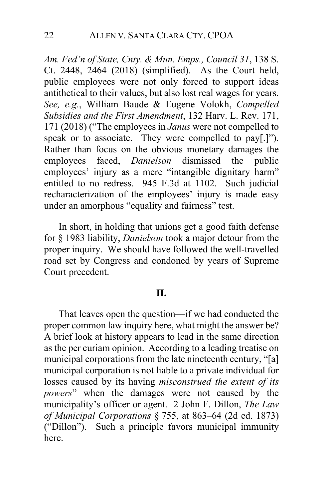*Am. Fed'n of State, Cnty. & Mun. Emps., Council 31*, 138 S. Ct. 2448, 2464 (2018) (simplified). As the Court held, public employees were not only forced to support ideas antithetical to their values, but also lost real wages for years. *See, e.g.*, William Baude & Eugene Volokh, *Compelled Subsidies and the First Amendment*, 132 Harv. L. Rev. 171, 171 (2018) ("The employees in *Janus* were not compelled to speak or to associate. They were compelled to pay[.]"). Rather than focus on the obvious monetary damages the employees faced, *Danielson* dismissed the public employees' injury as a mere "intangible dignitary harm" entitled to no redress. 945 F.3d at 1102. Such judicial recharacterization of the employees' injury is made easy under an amorphous "equality and fairness" test.

In short, in holding that unions get a good faith defense for § 1983 liability, *Danielson* took a major detour from the proper inquiry. We should have followed the well-travelled road set by Congress and condoned by years of Supreme Court precedent.

## **II.**

That leaves open the question—if we had conducted the proper common law inquiry here, what might the answer be? A brief look at history appears to lead in the same direction as the per curiam opinion. According to a leading treatise on municipal corporations from the late nineteenth century, "[a] municipal corporation is not liable to a private individual for losses caused by its having *misconstrued the extent of its powers*" when the damages were not caused by the municipality's officer or agent. 2 John F. Dillon, *The Law of Municipal Corporations* § 755, at 863–64 (2d ed. 1873) ("Dillon"). Such a principle favors municipal immunity here.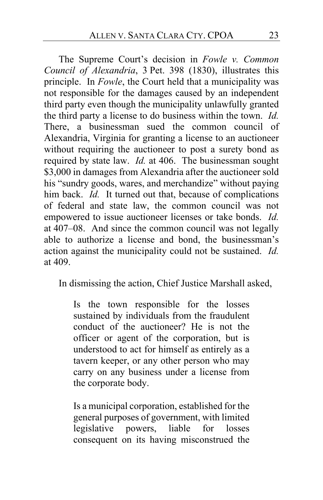The Supreme Court's decision in *Fowle v. Common Council of Alexandria*, 3 Pet. 398 (1830), illustrates this principle. In *Fowle*, the Court held that a municipality was not responsible for the damages caused by an independent third party even though the municipality unlawfully granted the third party a license to do business within the town. *Id.* There, a businessman sued the common council of Alexandria, Virginia for granting a license to an auctioneer without requiring the auctioneer to post a surety bond as required by state law. *Id.* at 406. The businessman sought \$3,000 in damages from Alexandria after the auctioneer sold his "sundry goods, wares, and merchandize" without paying him back. *Id.* It turned out that, because of complications of federal and state law, the common council was not empowered to issue auctioneer licenses or take bonds. *Id.*  at 407–08. And since the common council was not legally able to authorize a license and bond, the businessman's action against the municipality could not be sustained. *Id.*  at 409.

In dismissing the action, Chief Justice Marshall asked,

Is the town responsible for the losses sustained by individuals from the fraudulent conduct of the auctioneer? He is not the officer or agent of the corporation, but is understood to act for himself as entirely as a tavern keeper, or any other person who may carry on any business under a license from the corporate body.

Is a municipal corporation, established for the general purposes of government, with limited legislative powers, liable for losses consequent on its having misconstrued the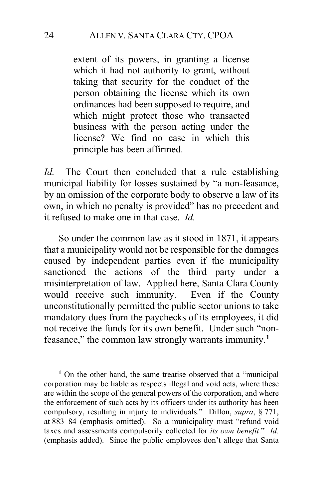extent of its powers, in granting a license which it had not authority to grant, without taking that security for the conduct of the person obtaining the license which its own ordinances had been supposed to require, and which might protect those who transacted business with the person acting under the license? We find no case in which this principle has been affirmed.

*Id.* The Court then concluded that a rule establishing municipal liability for losses sustained by "a non-feasance, by an omission of the corporate body to observe a law of its own, in which no penalty is provided" has no precedent and it refused to make one in that case. *Id.*

So under the common law as it stood in 1871, it appears that a municipality would not be responsible for the damages caused by independent parties even if the municipality sanctioned the actions of the third party under a misinterpretation of law. Applied here, Santa Clara County would receive such immunity. Even if the County unconstitutionally permitted the public sector unions to take mandatory dues from the paychecks of its employees, it did not receive the funds for its own benefit. Under such "nonfeasance," the common law strongly warrants immunity.**[1](#page-23-0)**

<span id="page-23-0"></span>**<sup>1</sup>** On the other hand, the same treatise observed that a "municipal corporation may be liable as respects illegal and void acts, where these are within the scope of the general powers of the corporation, and where the enforcement of such acts by its officers under its authority has been compulsory, resulting in injury to individuals." Dillon, *supra*, § 771, at 883–84 (emphasis omitted). So a municipality must "refund void taxes and assessments compulsorily collected for *its own benefit*." *Id.* (emphasis added). Since the public employees don't allege that Santa